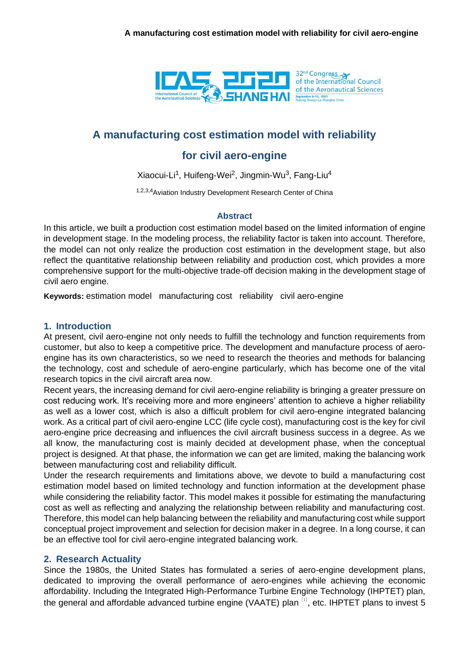

# **A manufacturing cost estimation model with reliability**

# **for civil aero-engine**

Xiaocui-Li<sup>1</sup>, Huifeng-Wei<sup>2</sup>, Jingmin-Wu<sup>3</sup>, Fang-Liu<sup>4</sup>

1,2,3,4Aviation Industry Development Research Center of China

### **Abstract**

In this article, we built a production cost estimation model based on the limited information of engine in development stage. In the modeling process, the reliability factor is taken into account. Therefore, the model can not only realize the production cost estimation in the development stage, but also reflect the quantitative relationship between reliability and production cost, which provides a more comprehensive support for the multi-objective trade-off decision making in the development stage of civil aero engine.

**Keywords:** estimation model manufacturing cost reliability civil aero-engine

### **1. Introduction**

At present, civil aero-engine not only needs to fulfill the technology and function requirements from customer, but also to keep a competitive price. The development and manufacture process of aeroengine has its own characteristics, so we need to research the theories and methods for balancing the technology, cost and schedule of aero-engine particularly, which has become one of the vital research topics in the civil aircraft area now.

Recent years, the increasing demand for civil aero-engine reliability is bringing a greater pressure on cost reducing work. It's receiving more and more engineers' attention to achieve a higher reliability as well as a lower cost, which is also a difficult problem for civil aero-engine integrated balancing work. As a critical part of civil aero-engine LCC (life cycle cost), manufacturing cost is the key for civil aero-engine price decreasing and influences the civil aircraft business success in a degree. As we all know, the manufacturing cost is mainly decided at development phase, when the conceptual project is designed. At that phase, the information we can get are limited, making the balancing work between manufacturing cost and reliability difficult.

Under the research requirements and limitations above, we devote to build a manufacturing cost estimation model based on limited technology and function information at the development phase while considering the reliability factor. This model makes it possible for estimating the manufacturing cost as well as reflecting and analyzing the relationship between reliability and manufacturing cost. Therefore, this model can help balancing between the reliability and manufacturing cost while support conceptual project improvement and selection for decision maker in a degree. In a long course, it can be an effective tool for civil aero-engine integrated balancing work.

## **2. Research Actuality**

Since the 1980s, the United States has formulated a series of aero-engine development plans, dedicated to improving the overall performance of aero-engines while achieving the economic affordability. Including the Integrated High-Performance Turbine Engine Technology (IHPTET) plan, the general and affordable advanced turbine engine (VAATE) plan  $[1]$ , etc. IHPTET plans to invest 5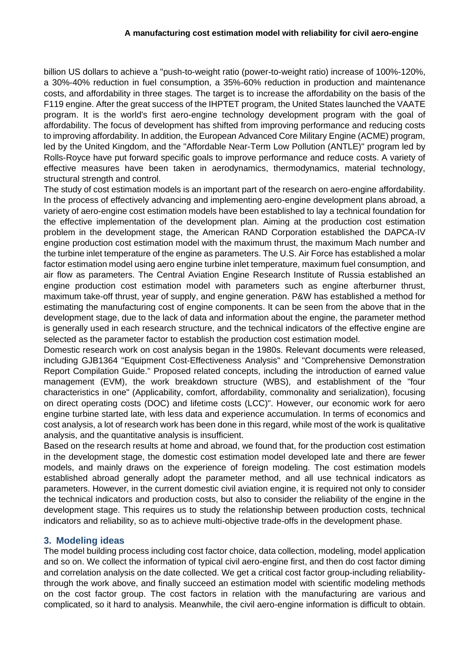billion US dollars to achieve a "push-to-weight ratio (power-to-weight ratio) increase of 100%-120%, a 30%-40% reduction in fuel consumption, a 35%-60% reduction in production and maintenance costs, and affordability in three stages. The target is to increase the affordability on the basis of the F119 engine. After the great success of the IHPTET program, the United States launched the VAATE program. It is the world's first aero-engine technology development program with the goal of affordability. The focus of development has shifted from improving performance and reducing costs to improving affordability. In addition, the European Advanced Core Military Engine (ACME) program, led by the United Kingdom, and the "Affordable Near-Term Low Pollution (ANTLE)" program led by Rolls-Royce have put forward specific goals to improve performance and reduce costs. A variety of effective measures have been taken in aerodynamics, thermodynamics, material technology, structural strength and control.

The study of cost estimation models is an important part of the research on aero-engine affordability. In the process of effectively advancing and implementing aero-engine development plans abroad, a variety of aero-engine cost estimation models have been established to lay a technical foundation for the effective implementation of the development plan. Aiming at the production cost estimation problem in the development stage, the American RAND Corporation established the DAPCA-IV engine production cost estimation model with the maximum thrust, the maximum Mach number and the turbine inlet temperature of the engine as parameters. The U.S. Air Force has established a molar factor estimation model using aero engine turbine inlet temperature, maximum fuel consumption, and air flow as parameters. The Central Aviation Engine Research Institute of Russia established an engine production cost estimation model with parameters such as engine afterburner thrust, maximum take-off thrust, year of supply, and engine generation. P&W has established a method for estimating the manufacturing cost of engine components. It can be seen from the above that in the development stage, due to the lack of data and information about the engine, the parameter method is generally used in each research structure, and the technical indicators of the effective engine are selected as the parameter factor to establish the production cost estimation model.

Domestic research work on cost analysis began in the 1980s. Relevant documents were released, including GJB1364 "Equipment Cost-Effectiveness Analysis" and "Comprehensive Demonstration Report Compilation Guide." Proposed related concepts, including the introduction of earned value management (EVM), the work breakdown structure (WBS), and establishment of the "four characteristics in one" (Applicability, comfort, affordability, commonality and serialization), focusing on direct operating costs (DOC) and lifetime costs (LCC)". However, our economic work for aero engine turbine started late, with less data and experience accumulation. In terms of economics and cost analysis, a lot of research work has been done in this regard, while most of the work is qualitative analysis, and the quantitative analysis is insufficient.

Based on the research results at home and abroad, we found that, for the production cost estimation in the development stage, the domestic cost estimation model developed late and there are fewer models, and mainly draws on the experience of foreign modeling. The cost estimation models established abroad generally adopt the parameter method, and all use technical indicators as parameters. However, in the current domestic civil aviation engine, it is required not only to consider the technical indicators and production costs, but also to consider the reliability of the engine in the development stage. This requires us to study the relationship between production costs, technical indicators and reliability, so as to achieve multi-objective trade-offs in the development phase.

## **3. Modeling ideas**

The model building process including cost factor choice, data collection, modeling, model application and so on. We collect the information of typical civil aero-engine first, and then do cost factor diming and correlation analysis on the date collected. We get a critical cost factor group-including reliabilitythrough the work above, and finally succeed an estimation model with scientific modeling methods on the cost factor group. The cost factors in relation with the manufacturing are various and complicated, so it hard to analysis. Meanwhile, the civil aero-engine information is difficult to obtain.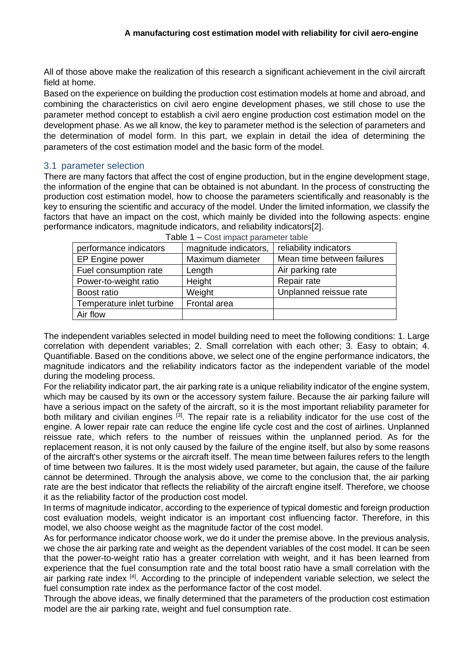All of those above make the realization of this research a significant achievement in the civil aircraft field at home.

Based on the experience on building the production cost estimation models at home and abroad, and combining the characteristics on civil aero engine development phases, we still chose to use the parameter method concept to establish a civil aero engine production cost estimation model on the development phase. As we all know, the key to parameter method is the selection of parameters and the determination of model form. In this part, we explain in detail the idea of determining the parameters of the cost estimation model and the basic form of the model.

#### 3.1 parameter selection

There are many factors that affect the cost of engine production, but in the engine development stage, the information of the engine that can be obtained is not abundant. In the process of constructing the production cost estimation model, how to choose the parameters scientifically and reasonably is the key to ensuring the scientific and accuracy of the model. Under the limited information, we classify the factors that have an impact on the cost, which mainly be divided into the following aspects: engine performance indicators, magnitude indicators, and reliability indicators[2].

| performance indicators    | magnitude indicators, | reliability indicators     |  |  |  |
|---------------------------|-----------------------|----------------------------|--|--|--|
| EP Engine power           | Maximum diameter      | Mean time between failures |  |  |  |
| Fuel consumption rate     | Length                | Air parking rate           |  |  |  |
| Power-to-weight ratio     | Height                | Repair rate                |  |  |  |
| Boost ratio               | Weight                | Unplanned reissue rate     |  |  |  |
| Temperature inlet turbine | Frontal area          |                            |  |  |  |
| Air flow                  |                       |                            |  |  |  |

The independent variables selected in model building need to meet the following conditions: 1. Large correlation with dependent variables; 2. Small correlation with each other; 3. Easy to obtain; 4. Quantifiable. Based on the conditions above, we select one of the engine performance indicators, the magnitude indicators and the reliability indicators factor as the independent variable of the model during the modeling process.

For the reliability indicator part, the air parking rate is a unique reliability indicator of the engine system, which may be caused by its own or the accessory system failure. Because the air parking failure will have a serious impact on the safety of the aircraft, so it is the most important reliability parameter for both military and civilian engines <sup>[3]</sup>. The repair rate is a reliability indicator for the use cost of the engine. A lower repair rate can reduce the engine life cycle cost and the cost of airlines. Unplanned reissue rate, which refers to the number of reissues within the unplanned period. As for the replacement reason, it is not only caused by the failure of the engine itself, but also by some reasons of the aircraft's other systems or the aircraft itself. The mean time between failures refers to the length of time between two failures. It is the most widely used parameter, but again, the cause of the failure cannot be determined. Through the analysis above, we come to the conclusion that, the air parking rate are the best indicator that reflects the reliability of the aircraft engine itself. Therefore, we choose it as the reliability factor of the production cost model.

In terms of magnitude indicator, according to the experience of typical domestic and foreign production cost evaluation models, weight indicator is an important cost influencing factor. Therefore, in this model, we also choose weight as the magnitude factor of the cost model.

As for performance indicator choose work, we do it under the premise above. In the previous analysis, we chose the air parking rate and weight as the dependent variables of the cost model. It can be seen that the power-to-weight ratio has a greater correlation with weight, and it has been learned from experience that the fuel consumption rate and the total boost ratio have a small correlation with the air parking rate index [4]. According to the principle of independent variable selection, we select the fuel consumption rate index as the performance factor of the cost model.

Through the above ideas, we finally determined that the parameters of the production cost estimation model are the air parking rate, weight and fuel consumption rate.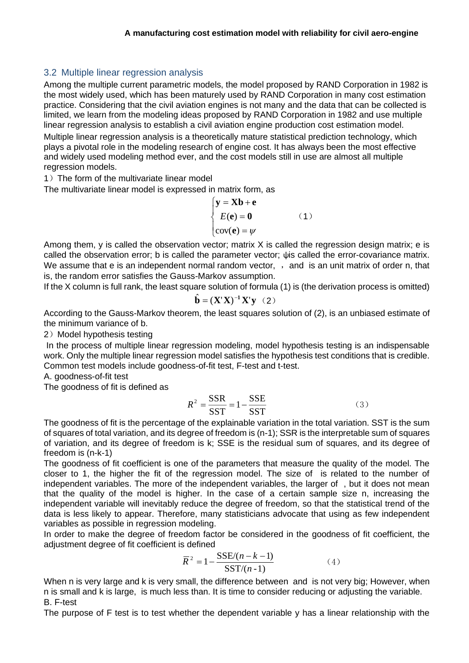# 3.2 Multiple linear regression analysis

Among the multiple current parametric models, the model proposed by RAND Corporation in 1982 is the most widely used, which has been maturely used by RAND Corporation in many cost estimation practice. Considering that the civil aviation engines is not many and the data that can be collected is limited, we learn from the modeling ideas proposed by RAND Corporation in 1982 and use multiple linear regression analysis to establish a civil aviation engine production cost estimation model.

Multiple linear regression analysis is a theoretically mature statistical prediction technology, which plays a pivotal role in the modeling research of engine cost. It has always been the most effective and widely used modeling method ever, and the cost models still in use are almost all multiple regression models.

1)The form of the multivariate linear model

The multivariate linear model is expressed in matrix form, as

$$
\begin{cases}\n\mathbf{y} = \mathbf{X}\mathbf{b} + \mathbf{e} \\
E(\mathbf{e}) = \mathbf{0} \\
cov(\mathbf{e}) = \psi\n\end{cases}
$$
\n(1)

Among them,  $y$  is called the observation vector; matrix  $X$  is called the regression design matrix; e is called the observation error; b is called the parameter vector; ψ is called the error-covariance matrix. We assume that  $e$  is an independent normal random vector,  $\theta$ , and is an unit matrix of order n, that is, the random error satisfies the Gauss-Markov assumption.

If the X column is full rank, the least square solution of formula (1) is (the derivation process is omitted)

$$
\hat{\mathbf{b}} = (\mathbf{X}^{\prime} \mathbf{X})^{-1} \mathbf{X}^{\prime} \mathbf{y} \quad (2)
$$

According to the Gauss-Markov theorem, the least squares solution of (2), is an unbiased estimate of the minimum variance of b.

2) Model hypothesis testing

In the process of multiple linear regression modeling, model hypothesis testing is an indispensable work. Only the multiple linear regression model satisfies the hypothesis test conditions that is credible. Common test models include goodness-of-fit test, F-test and t-test.

A. goodness-of-fit test

The goodness of fit is defined as

$$
R^2 = \frac{\text{SSR}}{\text{SST}} = 1 - \frac{\text{SSE}}{\text{SST}}
$$
 (3)

The goodness of fit is the percentage of the explainable variation in the total variation. SST is the sum of squares of total variation, and its degree of freedom is (n-1); SSR is the interpretable sum of squares of variation, and its degree of freedom is k; SSE is the residual sum of squares, and its degree of freedom is (n-k-1)

The goodness of fit coefficient is one of the parameters that measure the quality of the model. The closer to 1, the higher the fit of the regression model. The size of is related to the number of independent variables. The more of the independent variables, the larger of , but it does not mean that the quality of the model is higher. In the case of a certain sample size n, increasing the independent variable will inevitably reduce the degree of freedom, so that the statistical trend of the data is less likely to appear. Therefore, many statisticians advocate that using as few independent variables as possible in regression modeling.

In order to make the degree of freedom factor be considered in the goodness of fit coefficient, the adjustment degree of fit coefficient is defined

$$
\overline{R}^2 = 1 - \frac{\text{SSE}/(n - k - 1)}{\text{SST}/(n - 1)}
$$
(4)

When n is very large and k is very small, the difference between and is not very big; However, when n is small and k is large, is much less than. It is time to consider reducing or adjusting the variable. B. F-test

The purpose of F test is to test whether the dependent variable y has a linear relationship with the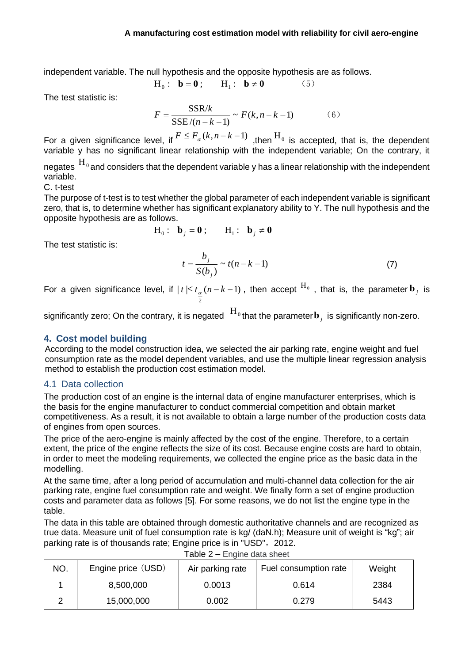independent variable. The null hypothesis and the opposite hypothesis are as follows.

$$
\mathbf{H}_0: \quad \mathbf{b} = \mathbf{0}; \qquad \mathbf{H}_1: \quad \mathbf{b} \neq \mathbf{0} \tag{5}
$$

The test statistic is:

$$
F = \frac{\text{SSR}/k}{\text{SSE}/(n-k-1)} \sim F(k, n-k-1) \tag{6}
$$

For a given significance level, if  $F \leq F_\alpha(k,n-k-1)$  ,then  $\text{H}_0$  is accepted, that is, the dependent variable y has no significant linear relationship with the independent variable; On the contrary, it

negates  ${\rm ^{H_0}}$ and considers that the dependent variable y has a linear relationship with the independent variable.

#### C. t-test

The purpose of t-test is to test whether the global parameter of each independent variable is significant zero, that is, to determine whether has significant explanatory ability to Y. The null hypothesis and the opposite hypothesis are as follows.

 $H_0:$  **b**  $_j = 0;$  **H**  $_1:$  **b**  $_j \neq 0$ 

The test statistic is:

$$
t = \frac{b_j}{S(b_j)} \sim t(n - k - 1)
$$
 (7)

For a given significance level, if  $|t| \leq t_{\alpha}$   $(n-k-1)$ , then accept  $10$ , that is, the parameter  $\mathbf{b}_{i}$  is 2  $t \leq t_{\alpha}$   $(n - k - 1)$  , then accept  $^{H_0}$  , that is, the parameter  $\mathbf{b}_{\beta}$ 

significantly zero; On the contrary, it is negated  $\ \mathbf{H}_0$ that the parameter $\mathbf{b}_j$  is significantly non-zero.

## **4. Cost model building**

According to the model construction idea, we selected the air parking rate, engine weight and fuel consumption rate as the model dependent variables, and use the multiple linear regression analysis method to establish the production cost estimation model.

## 4.1 Data collection

The production cost of an engine is the internal data of engine manufacturer enterprises, which is the basis for the engine manufacturer to conduct commercial competition and obtain market competitiveness. As a result, it is not available to obtain a large number of the production costs data of engines from open sources.

The price of the aero-engine is mainly affected by the cost of the engine. Therefore, to a certain extent, the price of the engine reflects the size of its cost. Because engine costs are hard to obtain, in order to meet the modeling requirements, we collected the engine price as the basic data in the modelling.

At the same time, after a long period of accumulation and multi-channel data collection for the air parking rate, engine fuel consumption rate and weight. We finally form a set of engine production costs and parameter data as follows [5]. For some reasons, we do not list the engine type in the table.

The data in this table are obtained through domestic authoritative channels and are recognized as true data. Measure unit of fuel consumption rate is kg/ (daN.h); Measure unit of weight is "kg"; air parking rate is of thousands rate: Engine price is in "USD", 2012.

| NO. | Engine price (USD) | Air parking rate | Fuel consumption rate | Weight |
|-----|--------------------|------------------|-----------------------|--------|
|     | 8,500,000          | 0.0013           | 0.614                 | 2384   |
|     | 15,000,000         | 0.002            | 0.279                 | 5443   |

|  | Table 2 - Engine data sheet |  |  |
|--|-----------------------------|--|--|
|--|-----------------------------|--|--|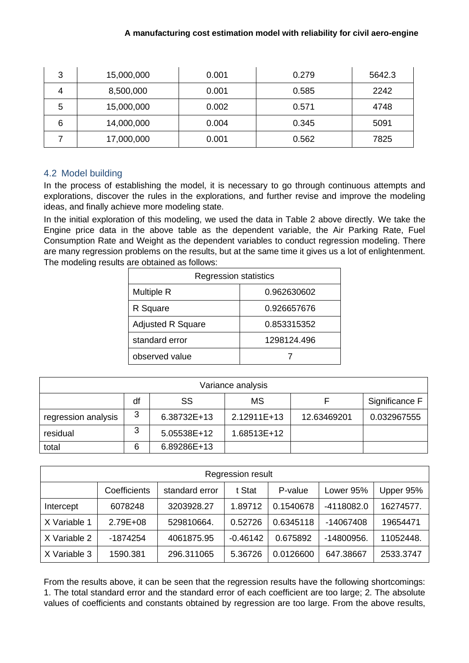#### **A manufacturing cost estimation model with reliability for civil aero-engine**

| 3 | 15,000,000 | 0.001 | 0.279 | 5642.3 |
|---|------------|-------|-------|--------|
| 4 | 8,500,000  | 0.001 | 0.585 | 2242   |
| 5 | 15,000,000 | 0.002 | 0.571 | 4748   |
| 6 | 14,000,000 | 0.004 | 0.345 | 5091   |
|   | 17,000,000 | 0.001 | 0.562 | 7825   |

### 4.2 Model building

In the process of establishing the model, it is necessary to go through continuous attempts and explorations, discover the rules in the explorations, and further revise and improve the modeling ideas, and finally achieve more modeling state.

In the initial exploration of this modeling, we used the data in Table 2 above directly. We take the Engine price data in the above table as the dependent variable, the Air Parking Rate, Fuel Consumption Rate and Weight as the dependent variables to conduct regression modeling. There are many regression problems on the results, but at the same time it gives us a lot of enlightenment. The modeling results are obtained as follows:

| <b>Regression statistics</b> |             |  |  |  |  |
|------------------------------|-------------|--|--|--|--|
| <b>Multiple R</b>            | 0.962630602 |  |  |  |  |
| R Square                     | 0.926657676 |  |  |  |  |
| <b>Adjusted R Square</b>     | 0.853315352 |  |  |  |  |
| standard error               | 1298124.496 |  |  |  |  |
| observed value               |             |  |  |  |  |

| Variance analysis                |   |             |             |             |             |  |  |  |
|----------------------------------|---|-------------|-------------|-------------|-------------|--|--|--|
| df<br>SS<br>МS<br>Significance F |   |             |             |             |             |  |  |  |
| regression analysis              | 3 | 6.38732E+13 | 2.12911E+13 | 12.63469201 | 0.032967555 |  |  |  |
| residual                         | 3 | 5.05538E+12 | 1.68513E+12 |             |             |  |  |  |
| total                            | 6 | 6.89286E+13 |             |             |             |  |  |  |

| Regression result |                                                                               |            |            |           |            |           |  |  |
|-------------------|-------------------------------------------------------------------------------|------------|------------|-----------|------------|-----------|--|--|
|                   | standard error<br>Coefficients<br>t Stat<br>P-value<br>Lower 95%<br>Upper 95% |            |            |           |            |           |  |  |
| Intercept         | 6078248                                                                       | 3203928.27 | 1.89712    | 0.1540678 | -4118082.0 | 16274577. |  |  |
| X Variable 1      | $2.79E + 08$                                                                  | 529810664. | 0.52726    | 0.6345118 | -14067408  | 19654471  |  |  |
| X Variable 2      | -1874254                                                                      | 4061875.95 | $-0.46142$ | 0.675892  | -14800956. | 11052448. |  |  |
| X Variable 3      | 1590.381                                                                      | 296.311065 | 5.36726    | 0.0126600 | 647.38667  | 2533.3747 |  |  |

From the results above, it can be seen that the regression results have the following shortcomings: 1. The total standard error and the standard error of each coefficient are too large; 2. The absolute values of coefficients and constants obtained by regression are too large. From the above results,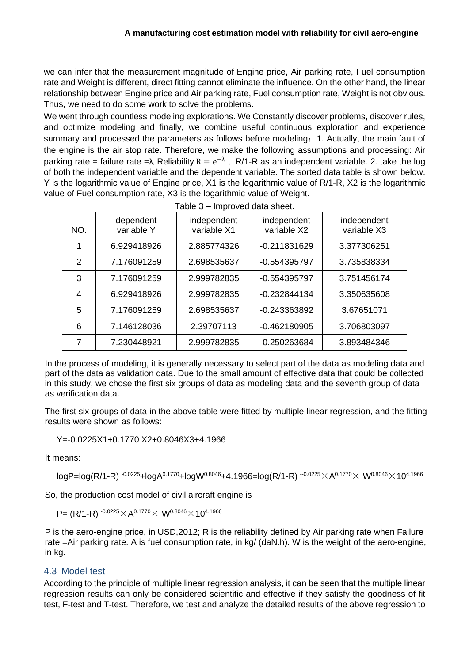we can infer that the measurement magnitude of Engine price, Air parking rate, Fuel consumption rate and Weight is different, direct fitting cannot eliminate the influence. On the other hand, the linear relationship between Engine price and Air parking rate, Fuel consumption rate, Weight is not obvious. Thus, we need to do some work to solve the problems.

We went through countless modeling explorations. We Constantly discover problems, discover rules, and optimize modeling and finally, we combine useful continuous exploration and experience summary and processed the parameters as follows before modeling: 1. Actually, the main fault of the engine is the air stop rate. Therefore, we make the following assumptions and processing: Air parking rate = failure rate =λ, Reliability R =  $e^{-\lambda}$  , R/1-R as an independent variable. 2. take the log of both the independent variable and the dependent variable. The sorted data table is shown below. Y is the logarithmic value of Engine price, X1 is the logarithmic value of R/1-R, X2 is the logarithmic value of Fuel consumption rate, X3 is the logarithmic value of Weight.

Table 3 – Improved data sheet.

|                | mproved data cribet.    |                            |                            |                            |  |  |
|----------------|-------------------------|----------------------------|----------------------------|----------------------------|--|--|
| NO.            | dependent<br>variable Y | independent<br>variable X1 | independent<br>variable X2 | independent<br>variable X3 |  |  |
| 1              | 6.929418926             | 2.885774326                | $-0.211831629$             | 3.377306251                |  |  |
| $\mathcal{P}$  | 7.176091259             | 2.698535637                | $-0.554395797$             | 3.735838334                |  |  |
| 3              | 7.176091259             | 2.999782835                | $-0.554395797$             | 3.751456174                |  |  |
| $\overline{4}$ | 6.929418926             | 2.999782835                | $-0.232844134$             | 3.350635608                |  |  |
| 5              | 7.176091259             | 2.698535637                | -0.243363892               | 3.67651071                 |  |  |
| 6              | 7.146128036             | 2.39707113                 | $-0.462180905$             | 3.706803097                |  |  |
| 7              | 7.230448921             | 2.999782835                | -0.250263684               | 3.893484346                |  |  |

In the process of modeling, it is generally necessary to select part of the data as modeling data and part of the data as validation data. Due to the small amount of effective data that could be collected in this study, we chose the first six groups of data as modeling data and the seventh group of data as verification data.

The first six groups of data in the above table were fitted by multiple linear regression, and the fitting results were shown as follows:

Y=-0.0225X1+0.1770 X2+0.8046X3+4.1966

It means:

logP=log(R/1-R) <sup>-0.0225</sup>+logA<sup>0.1770</sup>+logW<sup>0.8046</sup>+4.1966=log(R/1-R) <sup>--0.0225</sup> $\times$ A<sup>0.1770</sup> $\times$  W<sup>0.8046</sup> $\times$ 10<sup>4.1966</sup>

So, the production cost model of civil aircraft engine is

 $\mathsf{P} \mathsf{=}\ (\mathsf{R}/\mathsf{1}\mathsf{-}\mathsf{R})$   $\cdot^{0.0225}\!\times\!\mathsf{A}^{0.1770}\!\times\mathsf{W}^{0.8046}\!\times\! \mathsf{10}^{4.1966}$ 

P is the aero-engine price, in USD,2012; R is the reliability defined by Air parking rate when Failure rate =Air parking rate. A is fuel consumption rate, in kg/ (daN.h). W is the weight of the aero-engine, in kg.

#### 4.3 Model test

According to the principle of multiple linear regression analysis, it can be seen that the multiple linear regression results can only be considered scientific and effective if they satisfy the goodness of fit test, F-test and T-test. Therefore, we test and analyze the detailed results of the above regression to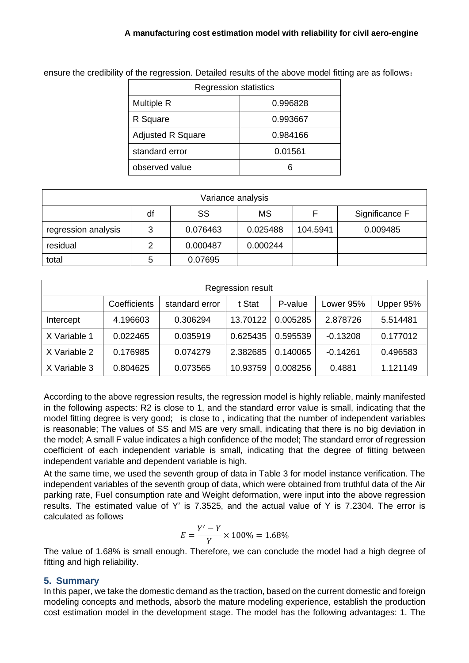| <b>Regression statistics</b> |          |  |  |  |  |
|------------------------------|----------|--|--|--|--|
| Multiple R                   | 0.996828 |  |  |  |  |
| R Square                     | 0.993667 |  |  |  |  |
| <b>Adjusted R Square</b>     | 0.984166 |  |  |  |  |
| standard error               | 0.01561  |  |  |  |  |
| observed value               |          |  |  |  |  |

ensure the credibility of the regression. Detailed results of the above model fitting are as follows:

| Variance analysis                              |   |          |          |          |          |  |  |
|------------------------------------------------|---|----------|----------|----------|----------|--|--|
| <b>SS</b><br><b>MS</b><br>df<br>Significance F |   |          |          |          |          |  |  |
| regression analysis                            | 3 | 0.076463 | 0.025488 | 104.5941 | 0.009485 |  |  |
| residual                                       | 2 | 0.000487 | 0.000244 |          |          |  |  |
| total                                          | 5 | 0.07695  |          |          |          |  |  |

| <b>Regression result</b> |                                                                               |          |          |          |            |          |  |  |
|--------------------------|-------------------------------------------------------------------------------|----------|----------|----------|------------|----------|--|--|
|                          | Coefficients<br>standard error<br>t Stat<br>P-value<br>Upper 95%<br>Lower 95% |          |          |          |            |          |  |  |
| Intercept                | 4.196603                                                                      | 0.306294 | 13.70122 | 0.005285 | 2.878726   | 5.514481 |  |  |
| X Variable 1             | 0.022465                                                                      | 0.035919 | 0.625435 | 0.595539 | $-0.13208$ | 0.177012 |  |  |
| X Variable 2             | 0.176985                                                                      | 0.074279 | 2.382685 | 0.140065 | $-0.14261$ | 0.496583 |  |  |
| X Variable 3             | 0.804625                                                                      | 0.073565 | 10.93759 | 0.008256 | 0.4881     | 1.121149 |  |  |

According to the above regression results, the regression model is highly reliable, mainly manifested in the following aspects: R2 is close to 1, and the standard error value is small, indicating that the model fitting degree is very good; is close to , indicating that the number of independent variables is reasonable; The values of SS and MS are very small, indicating that there is no big deviation in the model; A small F value indicates a high confidence of the model; The standard error of regression coefficient of each independent variable is small, indicating that the degree of fitting between independent variable and dependent variable is high.

At the same time, we used the seventh group of data in Table 3 for model instance verification. The independent variables of the seventh group of data, which were obtained from truthful data of the Air parking rate, Fuel consumption rate and Weight deformation, were input into the above regression results. The estimated value of Y' is 7.3525, and the actual value of Y is 7.2304. The error is calculated as follows

$$
E = \frac{Y' - Y}{Y} \times 100\% = 1.68\%
$$

The value of 1.68% is small enough. Therefore, we can conclude the model had a high degree of fitting and high reliability.

# **5. Summary**

In this paper, we take the domestic demand as the traction, based on the current domestic and foreign modeling concepts and methods, absorb the mature modeling experience, establish the production cost estimation model in the development stage. The model has the following advantages: 1. The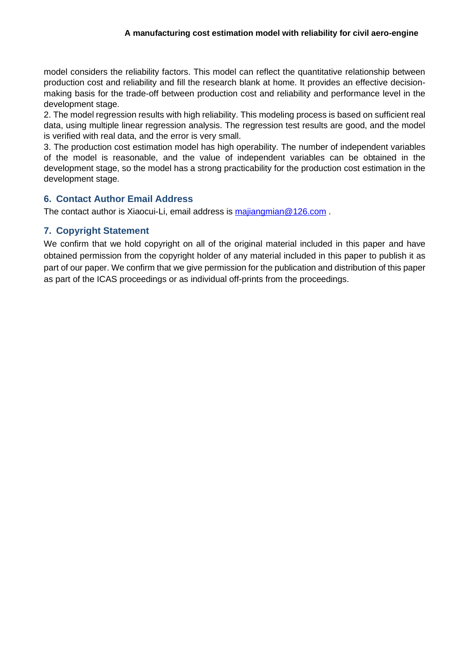model considers the reliability factors. This model can reflect the quantitative relationship between production cost and reliability and fill the research blank at home. It provides an effective decisionmaking basis for the trade-off between production cost and reliability and performance level in the development stage.

2. The model regression results with high reliability. This modeling process is based on sufficient real data, using multiple linear regression analysis. The regression test results are good, and the model is verified with real data, and the error is very small.

3. The production cost estimation model has high operability. The number of independent variables of the model is reasonable, and the value of independent variables can be obtained in the development stage, so the model has a strong practicability for the production cost estimation in the development stage.

## **6. Contact Author Email Address**

The contact author is Xiaocui-Li, email address is [majiangmian@126.com](mailto:majiangmian@126.com).

## **7. Copyright Statement**

We confirm that we hold copyright on all of the original material included in this paper and have obtained permission from the copyright holder of any material included in this paper to publish it as part of our paper. We confirm that we give permission for the publication and distribution of this paper as part of the ICAS proceedings or as individual off-prints from the proceedings.